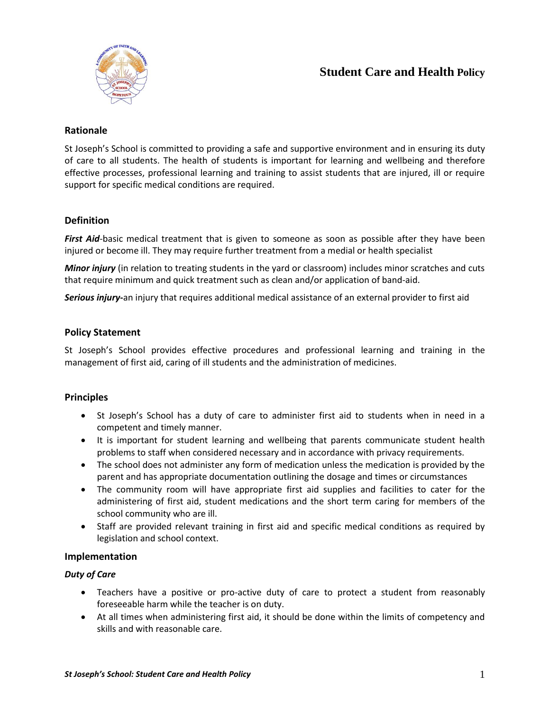

# **Student Care and Health Policy**

## **Rationale**

St Joseph's School is committed to providing a safe and supportive environment and in ensuring its duty of care to all students. The health of students is important for learning and wellbeing and therefore effective processes, professional learning and training to assist students that are injured, ill or require support for specific medical conditions are required.

## **Definition**

*First Aid*-basic medical treatment that is given to someone as soon as possible after they have been injured or become ill. They may require further treatment from a medial or health specialist

*Minor injury* (in relation to treating students in the yard or classroom) includes minor scratches and cuts that require minimum and quick treatment such as clean and/or application of band-aid.

*Serious injury***-**an injury that requires additional medical assistance of an external provider to first aid

#### **Policy Statement**

St Joseph's School provides effective procedures and professional learning and training in the management of first aid, caring of ill students and the administration of medicines.

#### **Principles**

- St Joseph's School has a duty of care to administer first aid to students when in need in a competent and timely manner.
- It is important for student learning and wellbeing that parents communicate student health problems to staff when considered necessary and in accordance with privacy requirements.
- The school does not administer any form of medication unless the medication is provided by the parent and has appropriate documentation outlining the dosage and times or circumstances
- The community room will have appropriate first aid supplies and facilities to cater for the administering of first aid, student medications and the short term caring for members of the school community who are ill.
- Staff are provided relevant training in first aid and specific medical conditions as required by legislation and school context.

#### **Implementation**

#### *Duty of Care*

- Teachers have a positive or pro-active duty of care to protect a student from reasonably foreseeable harm while the teacher is on duty.
- At all times when administering first aid, it should be done within the limits of competency and skills and with reasonable care.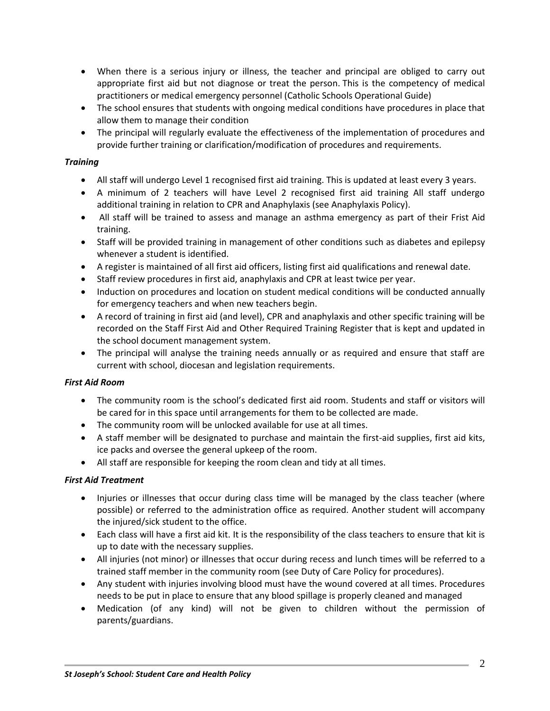- When there is a serious injury or illness, the teacher and principal are obliged to carry out appropriate first aid but not diagnose or treat the person. This is the competency of medical practitioners or medical emergency personnel (Catholic Schools Operational Guide)
- The school ensures that students with ongoing medical conditions have procedures in place that allow them to manage their condition
- The principal will regularly evaluate the effectiveness of the implementation of procedures and provide further training or clarification/modification of procedures and requirements.

## *Training*

- All staff will undergo Level 1 recognised first aid training. This is updated at least every 3 years.
- A minimum of 2 teachers will have Level 2 recognised first aid training All staff undergo additional training in relation to CPR and Anaphylaxis (see Anaphylaxis Policy).
- All staff will be trained to assess and manage an asthma emergency as part of their Frist Aid training.
- Staff will be provided training in management of other conditions such as diabetes and epilepsy whenever a student is identified.
- A register is maintained of all first aid officers, listing first aid qualifications and renewal date.
- Staff review procedures in first aid, anaphylaxis and CPR at least twice per year.
- Induction on procedures and location on student medical conditions will be conducted annually for emergency teachers and when new teachers begin.
- A record of training in first aid (and level), CPR and anaphylaxis and other specific training will be recorded on the Staff First Aid and Other Required Training Register that is kept and updated in the school document management system.
- The principal will analyse the training needs annually or as required and ensure that staff are current with school, diocesan and legislation requirements.

#### *First Aid Room*

- The community room is the school's dedicated first aid room. Students and staff or visitors will be cared for in this space until arrangements for them to be collected are made.
- The community room will be unlocked available for use at all times.
- A staff member will be designated to purchase and maintain the first-aid supplies, first aid kits, ice packs and oversee the general upkeep of the room.
- All staff are responsible for keeping the room clean and tidy at all times.

#### *First Aid Treatment*

- Injuries or illnesses that occur during class time will be managed by the class teacher (where possible) or referred to the administration office as required. Another student will accompany the injured/sick student to the office.
- Each class will have a first aid kit. It is the responsibility of the class teachers to ensure that kit is up to date with the necessary supplies.
- All injuries (not minor) or illnesses that occur during recess and lunch times will be referred to a trained staff member in the community room (see Duty of Care Policy for procedures).
- Any student with injuries involving blood must have the wound covered at all times. Procedures needs to be put in place to ensure that any blood spillage is properly cleaned and managed
- Medication (of any kind) will not be given to children without the permission of parents/guardians.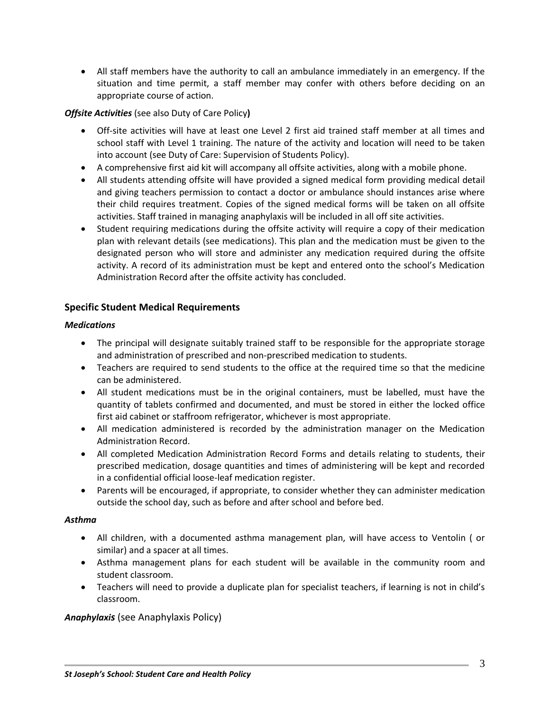All staff members have the authority to call an ambulance immediately in an emergency. If the situation and time permit, a staff member may confer with others before deciding on an appropriate course of action.

## *Offsite Activities* (see also Duty of Care Policy**)**

- Off-site activities will have at least one Level 2 first aid trained staff member at all times and school staff with Level 1 training. The nature of the activity and location will need to be taken into account (see Duty of Care: Supervision of Students Policy).
- A comprehensive first aid kit will accompany all offsite activities, along with a mobile phone.
- All students attending offsite will have provided a signed medical form providing medical detail and giving teachers permission to contact a doctor or ambulance should instances arise where their child requires treatment. Copies of the signed medical forms will be taken on all offsite activities. Staff trained in managing anaphylaxis will be included in all off site activities.
- Student requiring medications during the offsite activity will require a copy of their medication plan with relevant details (see medications). This plan and the medication must be given to the designated person who will store and administer any medication required during the offsite activity. A record of its administration must be kept and entered onto the school's Medication Administration Record after the offsite activity has concluded.

# **Specific Student Medical Requirements**

#### *Medications*

- The principal will designate suitably trained staff to be responsible for the appropriate storage and administration of prescribed and non-prescribed medication to students.
- Teachers are required to send students to the office at the required time so that the medicine can be administered.
- All student medications must be in the original containers, must be labelled, must have the quantity of tablets confirmed and documented, and must be stored in either the locked office first aid cabinet or staffroom refrigerator, whichever is most appropriate.
- All medication administered is recorded by the administration manager on the Medication Administration Record.
- All completed Medication Administration Record Forms and details relating to students, their prescribed medication, dosage quantities and times of administering will be kept and recorded in a confidential official loose-leaf medication register.
- Parents will be encouraged, if appropriate, to consider whether they can administer medication outside the school day, such as before and after school and before bed.

#### *Asthma*

- All children, with a documented asthma management plan, will have access to Ventolin ( or similar) and a spacer at all times.
- Asthma management plans for each student will be available in the community room and student classroom.
- Teachers will need to provide a duplicate plan for specialist teachers, if learning is not in child's classroom.

# *Anaphylaxis* (see Anaphylaxis Policy)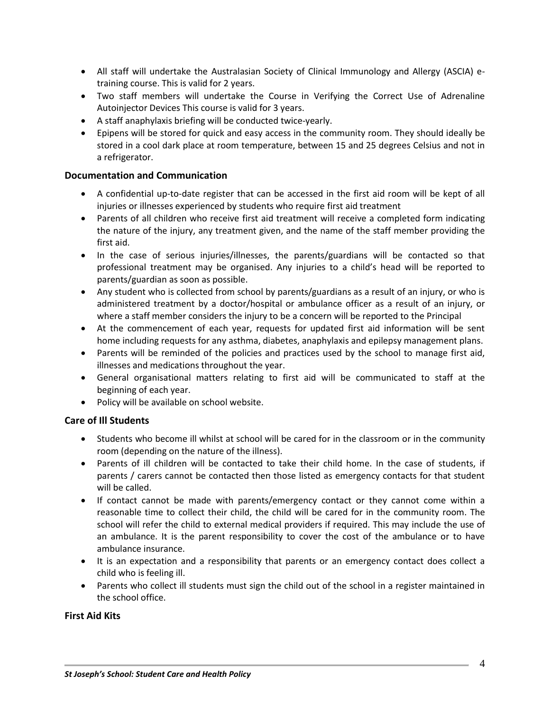- All staff will undertake the Australasian Society of Clinical Immunology and Allergy (ASCIA) etraining course. This is valid for 2 years.
- Two staff members will undertake the Course in Verifying the Correct Use of Adrenaline Autoinjector Devices This course is valid for 3 years.
- A staff anaphylaxis briefing will be conducted twice-yearly.
- Epipens will be stored for quick and easy access in the community room. They should ideally be stored in a cool dark place at room temperature, between 15 and 25 degrees Celsius and not in a refrigerator.

## **Documentation and Communication**

- A confidential up-to-date register that can be accessed in the first aid room will be kept of all injuries or illnesses experienced by students who require first aid treatment
- Parents of all children who receive first aid treatment will receive a completed form indicating the nature of the injury, any treatment given, and the name of the staff member providing the first aid.
- In the case of serious injuries/illnesses, the parents/guardians will be contacted so that professional treatment may be organised. Any injuries to a child's head will be reported to parents/guardian as soon as possible.
- Any student who is collected from school by parents/guardians as a result of an injury, or who is administered treatment by a doctor/hospital or ambulance officer as a result of an injury, or where a staff member considers the injury to be a concern will be reported to the Principal
- At the commencement of each year, requests for updated first aid information will be sent home including requests for any asthma, diabetes, anaphylaxis and epilepsy management plans.
- Parents will be reminded of the policies and practices used by the school to manage first aid, illnesses and medications throughout the year.
- General organisational matters relating to first aid will be communicated to staff at the beginning of each year.
- Policy will be available on school website.

# **Care of Ill Students**

- Students who become ill whilst at school will be cared for in the classroom or in the community room (depending on the nature of the illness).
- Parents of ill children will be contacted to take their child home. In the case of students, if parents / carers cannot be contacted then those listed as emergency contacts for that student will be called.
- If contact cannot be made with parents/emergency contact or they cannot come within a reasonable time to collect their child, the child will be cared for in the community room. The school will refer the child to external medical providers if required. This may include the use of an ambulance. It is the parent responsibility to cover the cost of the ambulance or to have ambulance insurance.
- It is an expectation and a responsibility that parents or an emergency contact does collect a child who is feeling ill.
- Parents who collect ill students must sign the child out of the school in a register maintained in the school office.

#### **First Aid Kits**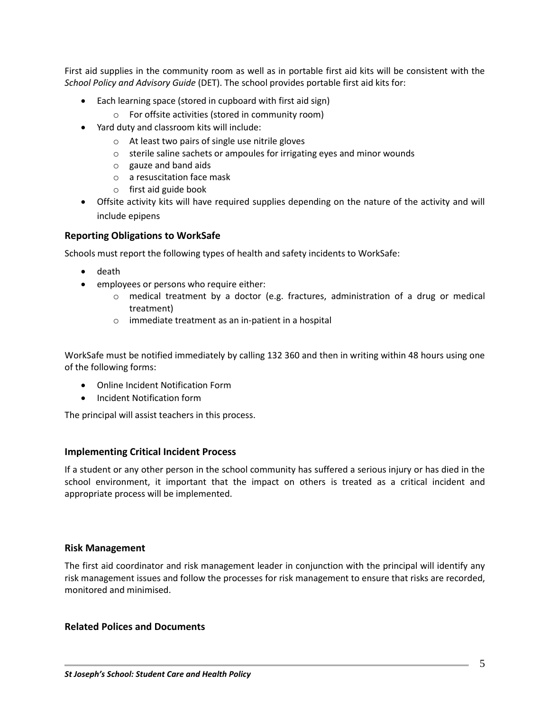First aid supplies in the community room as well as in portable first aid kits will be consistent with the *School Policy and Advisory Guide* (DET). The school provides portable first aid kits for:

- Each learning space (stored in cupboard with first aid sign)
	- o For offsite activities (stored in community room)
- Yard duty and classroom kits will include:
	- o At least two pairs of single use nitrile gloves
	- o sterile saline sachets or ampoules for irrigating eyes and minor wounds
	- $\circ$  gauze and band aids
	- o a resuscitation face mask
	- o first aid guide book
- Offsite activity kits will have required supplies depending on the nature of the activity and will include epipens

## **Reporting Obligations to WorkSafe**

Schools must report the following types of health and safety incidents to WorkSafe:

- death
- employees or persons who require either:
	- $\circ$  medical treatment by a doctor (e.g. fractures, administration of a drug or medical treatment)
	- o immediate treatment as an in-patient in a hospital

WorkSafe must be notified immediately by calling 132 360 and then in writing within 48 hours using one of the following forms:

- Online Incident Notification Form
- **•** Incident Notification form

The principal will assist teachers in this process.

#### **Implementing Critical Incident Process**

If a student or any other person in the school community has suffered a serious injury or has died in the school environment, it important that the impact on others is treated as a critical incident and appropriate process will be implemented.

#### **Risk Management**

The first aid coordinator and risk management leader in conjunction with the principal will identify any risk management issues and follow the processes for risk management to ensure that risks are recorded, monitored and minimised.

#### **Related Polices and Documents**